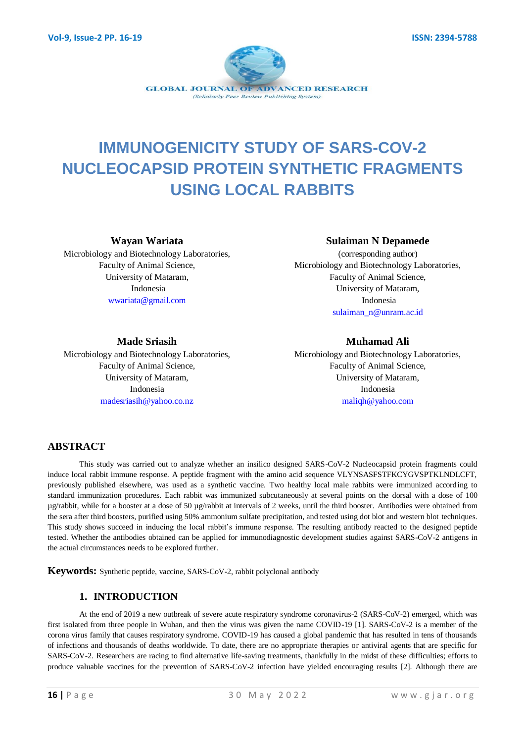

# **IMMUNOGENICITY STUDY OF SARS-COV-2 NUCLEOCAPSID PROTEIN SYNTHETIC FRAGMENTS USING LOCAL RABBITS**

**Wayan Wariata**

Microbiology and Biotechnology Laboratories, Faculty of Animal Science, University of Mataram, Indonesia wwariata@gmail.com

#### **Sulaiman N Depamede**

(corresponding author) Microbiology and Biotechnology Laboratories, Faculty of Animal Science, University of Mataram, Indonesia sulaiman\_n@unram.ac.id

#### **Made Sriasih**

Microbiology and Biotechnology Laboratories, Faculty of Animal Science, University of Mataram, Indonesia madesriasih@yahoo.co.nz

#### **Muhamad Ali**

Microbiology and Biotechnology Laboratories, Faculty of Animal Science, University of Mataram, Indonesia maliqh@yahoo.com

## **ABSTRACT**

This study was carried out to analyze whether an insilico designed SARS-CoV-2 Nucleocapsid protein fragments could induce local rabbit immune response. A peptide fragment with the amino acid sequence VLYNSASFSTFKCYGVSPTKLNDLCFT, previously published elsewhere, was used as a synthetic vaccine. Two healthy local male rabbits were immunized according to standard immunization procedures. Each rabbit was immunized subcutaneously at several points on the dorsal with a dose of 100 µg/rabbit, while for a booster at a dose of 50 µg/rabbit at intervals of 2 weeks, until the third booster. Antibodies were obtained from the sera after third boosters, purified using 50% ammonium sulfate precipitation, and tested using dot blot and western blot techniques. This study shows succeed in inducing the local rabbit's immune response. The resulting antibody reacted to the designed peptide tested. Whether the antibodies obtained can be applied for immunodiagnostic development studies against SARS-CoV-2 antigens in the actual circumstances needs to be explored further.

**Keywords:** Synthetic peptide, vaccine, SARS-CoV-2, rabbit polyclonal antibody

## **1. INTRODUCTION**

At the end of 2019 a new outbreak of severe acute respiratory syndrome coronavirus-2 (SARS-CoV-2) emerged, which was first isolated from three people in Wuhan, and then the virus was given the name COVID-19 [1]. SARS-CoV-2 is a member of the corona virus family that causes respiratory syndrome. COVID-19 has caused a global pandemic that has resulted in tens of thousands of infections and thousands of deaths worldwide. To date, there are no appropriate therapies or antiviral agents that are specific for SARS-CoV-2. Researchers are racing to find alternative life-saving treatments, thankfully in the midst of these difficulties; efforts to produce valuable vaccines for the prevention of SARS-CoV-2 infection have yielded encouraging results [2]. Although there are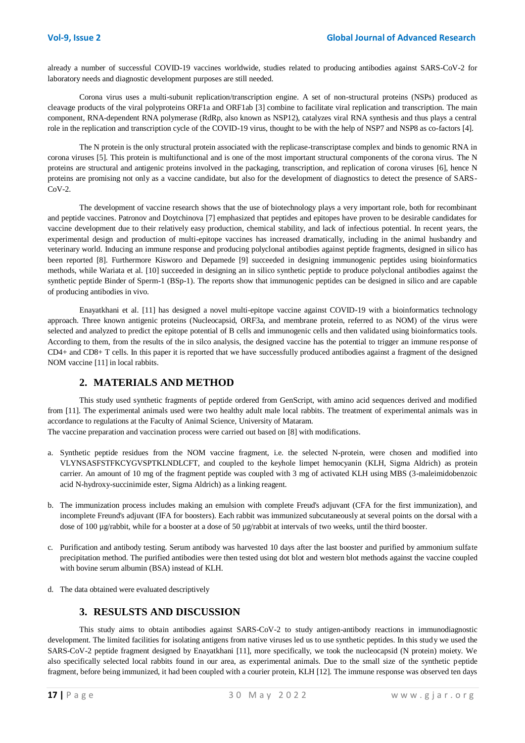already a number of successful COVID-19 vaccines worldwide, studies related to producing antibodies against SARS-CoV-2 for laboratory needs and diagnostic development purposes are still needed.

Corona virus uses a multi-subunit replication/transcription engine. A set of non-structural proteins (NSPs) produced as cleavage products of the viral polyproteins ORF1a and ORF1ab [3] combine to facilitate viral replication and transcription. The main component, RNA-dependent RNA polymerase (RdRp, also known as NSP12), catalyzes viral RNA synthesis and thus plays a central role in the replication and transcription cycle of the COVID-19 virus, thought to be with the help of NSP7 and NSP8 as co-factors [4].

The N protein is the only structural protein associated with the replicase-transcriptase complex and binds to genomic RNA in corona viruses [5]. This protein is multifunctional and is one of the most important structural components of the corona virus. The N proteins are structural and antigenic proteins involved in the packaging, transcription, and replication of corona viruses [6], hence N proteins are promising not only as a vaccine candidate, but also for the development of diagnostics to detect the presence of SARS- $CoV-2.$ 

The development of vaccine research shows that the use of biotechnology plays a very important role, both for recombinant and peptide vaccines. Patronov and Doytchinova [7] emphasized that peptides and epitopes have proven to be desirable candidates for vaccine development due to their relatively easy production, chemical stability, and lack of infectious potential. In recent years, the experimental design and production of multi-epitope vaccines has increased dramatically, including in the animal husbandry and veterinary world. Inducing an immune response and producing polyclonal antibodies against peptide fragments, designed in silico has been reported [8]. Furthermore Kisworo and Depamede [9] succeeded in designing immunogenic peptides using bioinformatics methods, while Wariata et al. [10] succeeded in designing an in silico synthetic peptide to produce polyclonal antibodies against the synthetic peptide Binder of Sperm-1 (BSp-1). The reports show that immunogenic peptides can be designed in silico and are capable of producing antibodies in vivo.

Enayatkhani et al. [11] has designed a novel multi-epitope vaccine against COVID-19 with a bioinformatics technology approach. Three known antigenic proteins (Nucleocapsid, ORF3a, and membrane protein, referred to as NOM) of the virus were selected and analyzed to predict the epitope potential of B cells and immunogenic cells and then validated using bioinformatics tools. According to them, from the results of the in silco analysis, the designed vaccine has the potential to trigger an immune response of CD4+ and CD8+ T cells. In this paper it is reported that we have successfully produced antibodies against a fragment of the designed NOM vaccine [11] in local rabbits.

#### **2. MATERIALS AND METHOD**

This study used synthetic fragments of peptide ordered from GenScript, with amino acid sequences derived and modified from [11]. The experimental animals used were two healthy adult male local rabbits. The treatment of experimental animals was in accordance to regulations at the Faculty of Animal Science, University of Mataram.

The vaccine preparation and vaccination process were carried out based on [8] with modifications.

- a. Synthetic peptide residues from the NOM vaccine fragment, i.e. the selected N-protein, were chosen and modified into VLYNSASFSTFKCYGVSPTKLNDLCFT, and coupled to the keyhole limpet hemocyanin (KLH, Sigma Aldrich) as protein carrier. An amount of 10 mg of the fragment peptide was coupled with 3 mg of activated KLH using MBS (3-maleimidobenzoic acid N-hydroxy-succinimide ester, Sigma Aldrich) as a linking reagent.
- b. The immunization process includes making an emulsion with complete Freud's adjuvant (CFA for the first immunization), and incomplete Freund's adjuvant (IFA for boosters). Each rabbit was immunized subcutaneously at several points on the dorsal with a dose of 100 µg/rabbit, while for a booster at a dose of 50 µg/rabbit at intervals of two weeks, until the third booster.
- c. Purification and antibody testing. Serum antibody was harvested 10 days after the last booster and purified by ammonium sulfate precipitation method. The purified antibodies were then tested using dot blot and western blot methods against the vaccine coupled with bovine serum albumin (BSA) instead of KLH.
- d. The data obtained were evaluated descriptively

## **3. RESULSTS AND DISCUSSION**

This study aims to obtain antibodies against SARS-CoV-2 to study antigen-antibody reactions in immunodiagnostic development. The limited facilities for isolating antigens from native viruses led us to use synthetic peptides. In this study we used the SARS-CoV-2 peptide fragment designed by Enayatkhani [11], more specifically, we took the nucleocapsid (N protein) moiety. We also specifically selected local rabbits found in our area, as experimental animals. Due to the small size of the synthetic peptide fragment, before being immunized, it had been coupled with a courier protein, KLH [12]. The immune response was observed ten days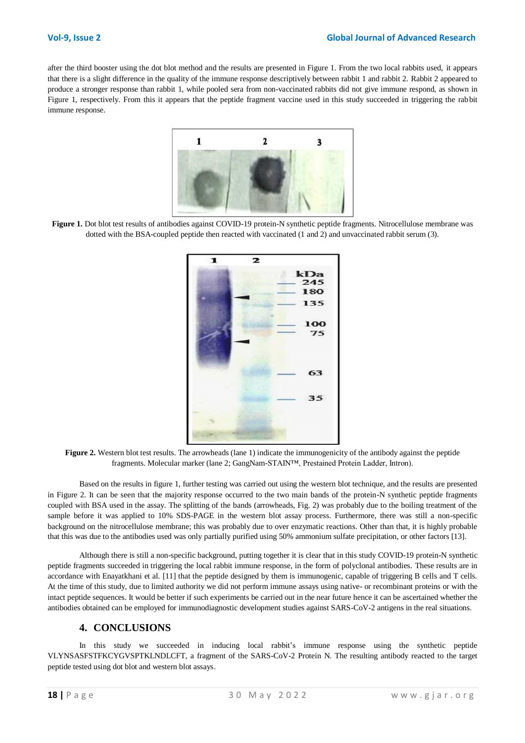after the third booster using the dot blot method and the results are presented in Figure 1. From the two local rabbits used, it appears that there is a slight difference in the quality of the immune response descriptively between rabbit 1 and rabbit 2. Rabbit 2 appeared to produce a stronger response than rabbit 1, while pooled sera from non-vaccinated rabbits did not give immune respond, as shown in Figure 1, respectively. From this it appears that the peptide fragment vaccine used in this study succeeded in triggering the rabbit immune response.



Figure 1. Dot blot test results of antibodies against COVID-19 protein-N synthetic peptide fragments. Nitrocellulose membrane was dotted with the BSA-coupled peptide then reacted with vaccinated (1 and 2) and unvaccinated rabbit serum (3).



**Figure 2.** Western blot test results. The arrowheads (lane 1) indicate the immunogenicity of the antibody against the peptide fragments. Molecular marker (lane 2; GangNam-STAIN™, Prestained Protein Ladder, Intron).

Based on the results in figure 1, further testing was carried out using the western blot technique, and the results are presented in Figure 2. It can be seen that the majority response occurred to the two main bands of the protein-N synthetic peptide fragments coupled with BSA used in the assay. The splitting of the bands (arrowheads, Fig. 2) was probably due to the boiling treatment of the sample before it was applied to 10% SDS-PAGE in the western blot assay process. Furthermore, there was still a non-specific background on the nitrocellulose membrane; this was probably due to over enzymatic reactions. Other than that, it is highly probable that this was due to the antibodies used was only partially purified using 50% ammonium sulfate precipitation, or other factors [13].

Although there is still a non-specific background, putting together it is clear that in this study COVID-19 protein-N synthetic peptide fragments succeeded in triggering the local rabbit immune response, in the form of polyclonal antibodies. These results are in accordance with Enayatkhani et al. [11] that the peptide designed by them is immunogenic, capable of triggering B cells and T cells. At the time of this study, due to limited authority we did not perform immune assays using native- or recombinant proteins or with the intact peptide sequences. It would be better if such experiments be carried out in the near future hence it can be ascertained whether the antibodies obtained can be employed for immunodiagnostic development studies against SARS-CoV-2 antigens in the real situations.

#### **4. CONCLUSIONS**

In this study we succeeded in inducing local rabbit's immune response using the synthetic peptide VLYNSASFSTFKCYGVSPTKLNDLCFT, a fragment of the SARS-CoV-2 Protein N. The resulting antibody reacted to the target peptide tested using dot blot and western blot assays.